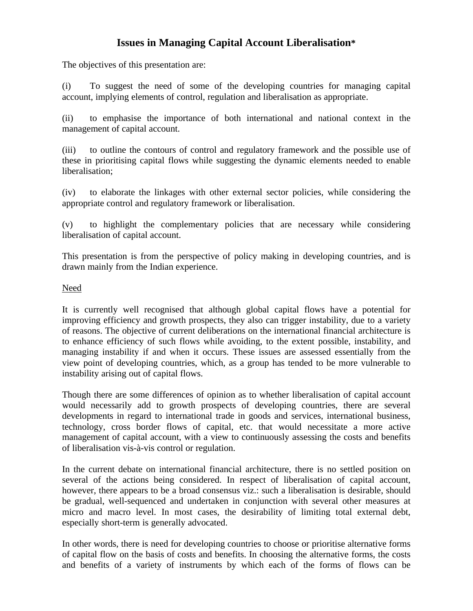# **Issues in Managing Capital Account Liberalisation\***

The objectives of this presentation are:

(i) To suggest the need of some of the developing countries for managing capital account, implying elements of control, regulation and liberalisation as appropriate.

(ii) to emphasise the importance of both international and national context in the management of capital account.

(iii) to outline the contours of control and regulatory framework and the possible use of these in prioritising capital flows while suggesting the dynamic elements needed to enable liberalisation;

(iv) to elaborate the linkages with other external sector policies, while considering the appropriate control and regulatory framework or liberalisation.

(v) to highlight the complementary policies that are necessary while considering liberalisation of capital account.

This presentation is from the perspective of policy making in developing countries, and is drawn mainly from the Indian experience.

#### Need

It is currently well recognised that although global capital flows have a potential for improving efficiency and growth prospects, they also can trigger instability, due to a variety of reasons. The objective of current deliberations on the international financial architecture is to enhance efficiency of such flows while avoiding, to the extent possible, instability, and managing instability if and when it occurs. These issues are assessed essentially from the view point of developing countries, which, as a group has tended to be more vulnerable to instability arising out of capital flows.

Though there are some differences of opinion as to whether liberalisation of capital account would necessarily add to growth prospects of developing countries, there are several developments in regard to international trade in goods and services, international business, technology, cross border flows of capital, etc. that would necessitate a more active management of capital account, with a view to continuously assessing the costs and benefits of liberalisation vis-à-vis control or regulation.

In the current debate on international financial architecture, there is no settled position on several of the actions being considered. In respect of liberalisation of capital account, however, there appears to be a broad consensus viz.: such a liberalisation is desirable, should be gradual, well-sequenced and undertaken in conjunction with several other measures at micro and macro level. In most cases, the desirability of limiting total external debt, especially short-term is generally advocated.

In other words, there is need for developing countries to choose or prioritise alternative forms of capital flow on the basis of costs and benefits. In choosing the alternative forms, the costs and benefits of a variety of instruments by which each of the forms of flows can be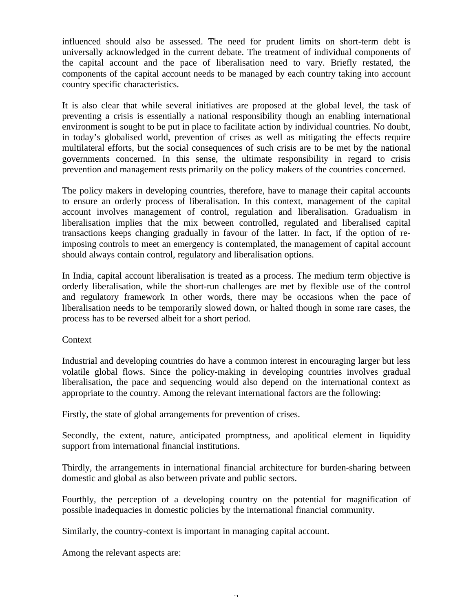influenced should also be assessed. The need for prudent limits on short-term debt is universally acknowledged in the current debate. The treatment of individual components of the capital account and the pace of liberalisation need to vary. Briefly restated, the components of the capital account needs to be managed by each country taking into account country specific characteristics.

It is also clear that while several initiatives are proposed at the global level, the task of preventing a crisis is essentially a national responsibility though an enabling international environment is sought to be put in place to facilitate action by individual countries. No doubt, in today's globalised world, prevention of crises as well as mitigating the effects require multilateral efforts, but the social consequences of such crisis are to be met by the national governments concerned. In this sense, the ultimate responsibility in regard to crisis prevention and management rests primarily on the policy makers of the countries concerned.

The policy makers in developing countries, therefore, have to manage their capital accounts to ensure an orderly process of liberalisation. In this context, management of the capital account involves management of control, regulation and liberalisation. Gradualism in liberalisation implies that the mix between controlled, regulated and liberalised capital transactions keeps changing gradually in favour of the latter. In fact, if the option of reimposing controls to meet an emergency is contemplated, the management of capital account should always contain control, regulatory and liberalisation options.

In India, capital account liberalisation is treated as a process. The medium term objective is orderly liberalisation, while the short-run challenges are met by flexible use of the control and regulatory framework In other words, there may be occasions when the pace of liberalisation needs to be temporarily slowed down, or halted though in some rare cases, the process has to be reversed albeit for a short period.

## **Context**

Industrial and developing countries do have a common interest in encouraging larger but less volatile global flows. Since the policy-making in developing countries involves gradual liberalisation, the pace and sequencing would also depend on the international context as appropriate to the country. Among the relevant international factors are the following:

Firstly, the state of global arrangements for prevention of crises.

Secondly, the extent, nature, anticipated promptness, and apolitical element in liquidity support from international financial institutions.

Thirdly, the arrangements in international financial architecture for burden-sharing between domestic and global as also between private and public sectors.

Fourthly, the perception of a developing country on the potential for magnification of possible inadequacies in domestic policies by the international financial community.

Similarly, the country-context is important in managing capital account.

Among the relevant aspects are: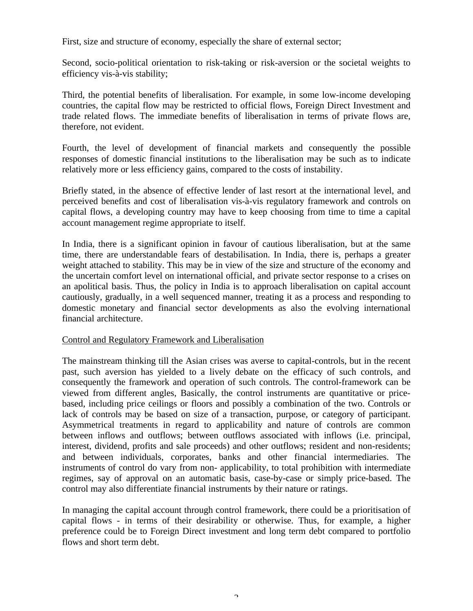First, size and structure of economy, especially the share of external sector;

Second, socio-political orientation to risk-taking or risk-aversion or the societal weights to efficiency vis-à-vis stability;

Third, the potential benefits of liberalisation. For example, in some low-income developing countries, the capital flow may be restricted to official flows, Foreign Direct Investment and trade related flows. The immediate benefits of liberalisation in terms of private flows are, therefore, not evident.

Fourth, the level of development of financial markets and consequently the possible responses of domestic financial institutions to the liberalisation may be such as to indicate relatively more or less efficiency gains, compared to the costs of instability.

Briefly stated, in the absence of effective lender of last resort at the international level, and perceived benefits and cost of liberalisation vis-à-vis regulatory framework and controls on capital flows, a developing country may have to keep choosing from time to time a capital account management regime appropriate to itself.

In India, there is a significant opinion in favour of cautious liberalisation, but at the same time, there are understandable fears of destabilisation. In India, there is, perhaps a greater weight attached to stability. This may be in view of the size and structure of the economy and the uncertain comfort level on international official, and private sector response to a crises on an apolitical basis. Thus, the policy in India is to approach liberalisation on capital account cautiously, gradually, in a well sequenced manner, treating it as a process and responding to domestic monetary and financial sector developments as also the evolving international financial architecture.

## Control and Regulatory Framework and Liberalisation

The mainstream thinking till the Asian crises was averse to capital-controls, but in the recent past, such aversion has yielded to a lively debate on the efficacy of such controls, and consequently the framework and operation of such controls. The control-framework can be viewed from different angles, Basically, the control instruments are quantitative or pricebased, including price ceilings or floors and possibly a combination of the two. Controls or lack of controls may be based on size of a transaction, purpose, or category of participant. Asymmetrical treatments in regard to applicability and nature of controls are common between inflows and outflows; between outflows associated with inflows (i.e. principal, interest, dividend, profits and sale proceeds) and other outflows; resident and non-residents; and between individuals, corporates, banks and other financial intermediaries. The instruments of control do vary from non- applicability, to total prohibition with intermediate regimes, say of approval on an automatic basis, case-by-case or simply price-based. The control may also differentiate financial instruments by their nature or ratings.

In managing the capital account through control framework, there could be a prioritisation of capital flows - in terms of their desirability or otherwise. Thus, for example, a higher preference could be to Foreign Direct investment and long term debt compared to portfolio flows and short term debt.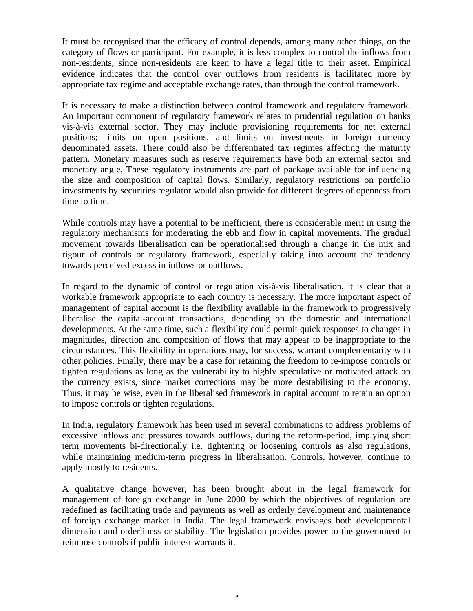It must be recognised that the efficacy of control depends, among many other things, on the category of flows or participant. For example, it is less complex to control the inflows from non-residents, since non-residents are keen to have a legal title to their asset. Empirical evidence indicates that the control over outflows from residents is facilitated more by appropriate tax regime and acceptable exchange rates, than through the control framework.

It is necessary to make a distinction between control framework and regulatory framework. An important component of regulatory framework relates to prudential regulation on banks vis-à-vis external sector. They may include provisioning requirements for net external positions; limits on open positions, and limits on investments in foreign currency denominated assets. There could also be differentiated tax regimes affecting the maturity pattern. Monetary measures such as reserve requirements have both an external sector and monetary angle. These regulatory instruments are part of package available for influencing the size and composition of capital flows. Similarly, regulatory restrictions on portfolio investments by securities regulator would also provide for different degrees of openness from time to time.

While controls may have a potential to be inefficient, there is considerable merit in using the regulatory mechanisms for moderating the ebb and flow in capital movements. The gradual movement towards liberalisation can be operationalised through a change in the mix and rigour of controls or regulatory framework, especially taking into account the tendency towards perceived excess in inflows or outflows.

In regard to the dynamic of control or regulation vis-à-vis liberalisation, it is clear that a workable framework appropriate to each country is necessary. The more important aspect of management of capital account is the flexibility available in the framework to progressively liberalise the capital-account transactions, depending on the domestic and international developments. At the same time, such a flexibility could permit quick responses to changes in magnitudes, direction and composition of flows that may appear to be inappropriate to the circumstances. This flexibility in operations may, for success, warrant complementarity with other policies. Finally, there may be a case for retaining the freedom to re-impose controls or tighten regulations as long as the vulnerability to highly speculative or motivated attack on the currency exists, since market corrections may be more destabilising to the economy. Thus, it may be wise, even in the liberalised framework in capital account to retain an option to impose controls or tighten regulations.

In India, regulatory framework has been used in several combinations to address problems of excessive inflows and pressures towards outflows, during the reform-period, implying short term movements bi-directionally i.e. tightening or loosening controls as also regulations, while maintaining medium-term progress in liberalisation. Controls, however, continue to apply mostly to residents.

A qualitative change however, has been brought about in the legal framework for management of foreign exchange in June 2000 by which the objectives of regulation are redefined as facilitating trade and payments as well as orderly development and maintenance of foreign exchange market in India. The legal framework envisages both developmental dimension and orderliness or stability. The legislation provides power to the government to reimpose controls if public interest warrants it.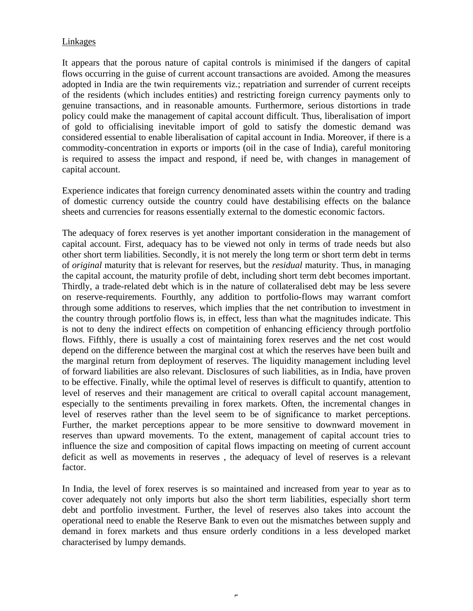## Linkages

It appears that the porous nature of capital controls is minimised if the dangers of capital flows occurring in the guise of current account transactions are avoided. Among the measures adopted in India are the twin requirements viz.; repatriation and surrender of current receipts of the residents (which includes entities) and restricting foreign currency payments only to genuine transactions, and in reasonable amounts. Furthermore, serious distortions in trade policy could make the management of capital account difficult. Thus, liberalisation of import of gold to officialising inevitable import of gold to satisfy the domestic demand was considered essential to enable liberalisation of capital account in India. Moreover, if there is a commodity-concentration in exports or imports (oil in the case of India), careful monitoring is required to assess the impact and respond, if need be, with changes in management of capital account.

Experience indicates that foreign currency denominated assets within the country and trading of domestic currency outside the country could have destabilising effects on the balance sheets and currencies for reasons essentially external to the domestic economic factors.

The adequacy of forex reserves is yet another important consideration in the management of capital account. First, adequacy has to be viewed not only in terms of trade needs but also other short term liabilities. Secondly, it is not merely the long term or short term debt in terms of *original* maturity that is relevant for reserves, but the *residual* maturity. Thus, in managing the capital account, the maturity profile of debt, including short term debt becomes important. Thirdly, a trade-related debt which is in the nature of collateralised debt may be less severe on reserve-requirements. Fourthly, any addition to portfolio-flows may warrant comfort through some additions to reserves, which implies that the net contribution to investment in the country through portfolio flows is, in effect, less than what the magnitudes indicate. This is not to deny the indirect effects on competition of enhancing efficiency through portfolio flows. Fifthly, there is usually a cost of maintaining forex reserves and the net cost would depend on the difference between the marginal cost at which the reserves have been built and the marginal return from deployment of reserves. The liquidity management including level of forward liabilities are also relevant. Disclosures of such liabilities, as in India, have proven to be effective. Finally, while the optimal level of reserves is difficult to quantify, attention to level of reserves and their management are critical to overall capital account management, especially to the sentiments prevailing in forex markets. Often, the incremental changes in level of reserves rather than the level seem to be of significance to market perceptions. Further, the market perceptions appear to be more sensitive to downward movement in reserves than upward movements. To the extent, management of capital account tries to influence the size and composition of capital flows impacting on meeting of current account deficit as well as movements in reserves , the adequacy of level of reserves is a relevant factor.

In India, the level of forex reserves is so maintained and increased from year to year as to cover adequately not only imports but also the short term liabilities, especially short term debt and portfolio investment. Further, the level of reserves also takes into account the operational need to enable the Reserve Bank to even out the mismatches between supply and demand in forex markets and thus ensure orderly conditions in a less developed market characterised by lumpy demands.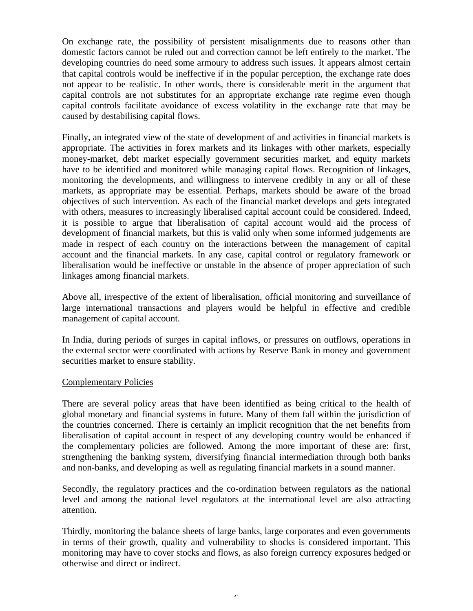On exchange rate, the possibility of persistent misalignments due to reasons other than domestic factors cannot be ruled out and correction cannot be left entirely to the market. The developing countries do need some armoury to address such issues. It appears almost certain that capital controls would be ineffective if in the popular perception, the exchange rate does not appear to be realistic. In other words, there is considerable merit in the argument that capital controls are not substitutes for an appropriate exchange rate regime even though capital controls facilitate avoidance of excess volatility in the exchange rate that may be caused by destabilising capital flows.

Finally, an integrated view of the state of development of and activities in financial markets is appropriate. The activities in forex markets and its linkages with other markets, especially money-market, debt market especially government securities market, and equity markets have to be identified and monitored while managing capital flows. Recognition of linkages, monitoring the developments, and willingness to intervene credibly in any or all of these markets, as appropriate may be essential. Perhaps, markets should be aware of the broad objectives of such intervention. As each of the financial market develops and gets integrated with others, measures to increasingly liberalised capital account could be considered. Indeed, it is possible to argue that liberalisation of capital account would aid the process of development of financial markets, but this is valid only when some informed judgements are made in respect of each country on the interactions between the management of capital account and the financial markets. In any case, capital control or regulatory framework or liberalisation would be ineffective or unstable in the absence of proper appreciation of such linkages among financial markets.

Above all, irrespective of the extent of liberalisation, official monitoring and surveillance of large international transactions and players would be helpful in effective and credible management of capital account.

In India, during periods of surges in capital inflows, or pressures on outflows, operations in the external sector were coordinated with actions by Reserve Bank in money and government securities market to ensure stability.

#### Complementary Policies

There are several policy areas that have been identified as being critical to the health of global monetary and financial systems in future. Many of them fall within the jurisdiction of the countries concerned. There is certainly an implicit recognition that the net benefits from liberalisation of capital account in respect of any developing country would be enhanced if the complementary policies are followed. Among the more important of these are: first, strengthening the banking system, diversifying financial intermediation through both banks and non-banks, and developing as well as regulating financial markets in a sound manner.

Secondly, the regulatory practices and the co-ordination between regulators as the national level and among the national level regulators at the international level are also attracting attention.

Thirdly, monitoring the balance sheets of large banks, large corporates and even governments in terms of their growth, quality and vulnerability to shocks is considered important. This monitoring may have to cover stocks and flows, as also foreign currency exposures hedged or otherwise and direct or indirect.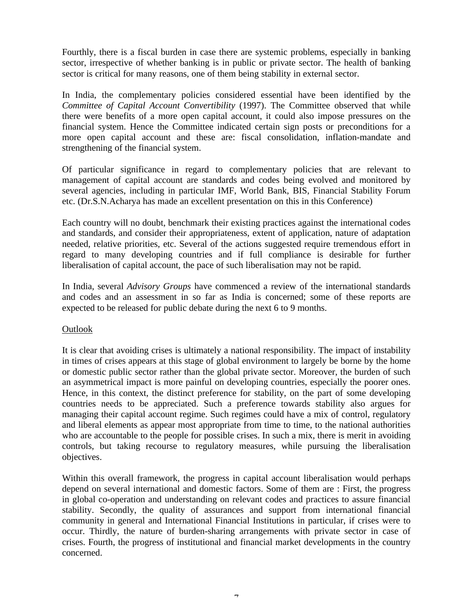Fourthly, there is a fiscal burden in case there are systemic problems, especially in banking sector, irrespective of whether banking is in public or private sector. The health of banking sector is critical for many reasons, one of them being stability in external sector.

In India, the complementary policies considered essential have been identified by the *Committee of Capital Account Convertibility* (1997). The Committee observed that while there were benefits of a more open capital account, it could also impose pressures on the financial system. Hence the Committee indicated certain sign posts or preconditions for a more open capital account and these are: fiscal consolidation, inflation-mandate and strengthening of the financial system.

Of particular significance in regard to complementary policies that are relevant to management of capital account are standards and codes being evolved and monitored by several agencies, including in particular IMF, World Bank, BIS, Financial Stability Forum etc. (Dr.S.N.Acharya has made an excellent presentation on this in this Conference)

Each country will no doubt, benchmark their existing practices against the international codes and standards, and consider their appropriateness, extent of application, nature of adaptation needed, relative priorities, etc. Several of the actions suggested require tremendous effort in regard to many developing countries and if full compliance is desirable for further liberalisation of capital account, the pace of such liberalisation may not be rapid.

In India, several *Advisory Groups* have commenced a review of the international standards and codes and an assessment in so far as India is concerned; some of these reports are expected to be released for public debate during the next 6 to 9 months.

## Outlook

It is clear that avoiding crises is ultimately a national responsibility. The impact of instability in times of crises appears at this stage of global environment to largely be borne by the home or domestic public sector rather than the global private sector. Moreover, the burden of such an asymmetrical impact is more painful on developing countries, especially the poorer ones. Hence, in this context, the distinct preference for stability, on the part of some developing countries needs to be appreciated. Such a preference towards stability also argues for managing their capital account regime. Such regimes could have a mix of control, regulatory and liberal elements as appear most appropriate from time to time, to the national authorities who are accountable to the people for possible crises. In such a mix, there is merit in avoiding controls, but taking recourse to regulatory measures, while pursuing the liberalisation objectives.

Within this overall framework, the progress in capital account liberalisation would perhaps depend on several international and domestic factors. Some of them are : First, the progress in global co-operation and understanding on relevant codes and practices to assure financial stability. Secondly, the quality of assurances and support from international financial community in general and International Financial Institutions in particular, if crises were to occur. Thirdly, the nature of burden-sharing arrangements with private sector in case of crises. Fourth, the progress of institutional and financial market developments in the country concerned.